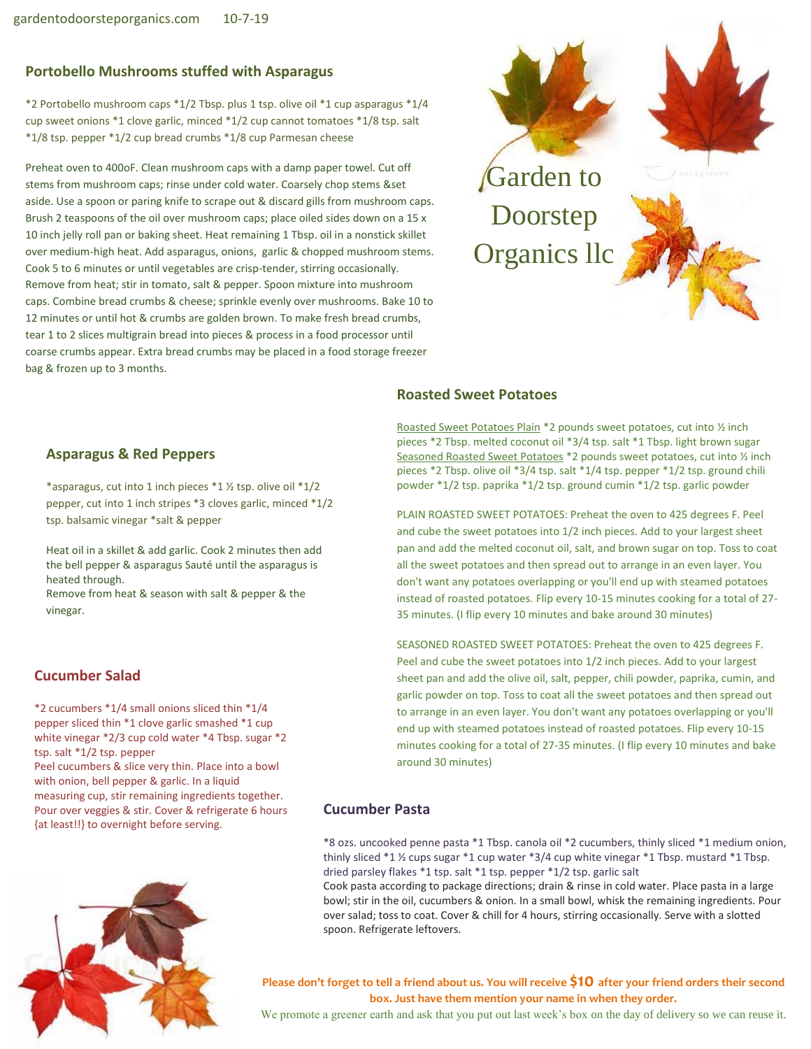## **Portobello Mushrooms stuffed with Asparagus**

\*2 Portobello mushroom caps \*1/2 Tbsp. plus 1 tsp. olive oil \*1 cup asparagus \*1/4 cup sweet onions \*1 clove garlic, minced \*1/2 cup cannot tomatoes \*1/8 tsp. salt \*1/8 tsp. pepper \*1/2 cup bread crumbs \*1/8 cup Parmesan cheese

Preheat oven to 400oF. Clean mushroom caps with a damp paper towel. Cut off stems from mushroom caps; rinse under cold water. Coarsely chop stems &set aside. Use a spoon or paring knife to scrape out & discard gills from mushroom caps. Brush 2 teaspoons of the oil over mushroom caps; place oiled sides down on a 15 x 10 inch jelly roll pan or baking sheet. Heat remaining 1 Tbsp. oil in a nonstick skillet over medium-high heat. Add asparagus, onions, garlic & chopped mushroom stems. Cook 5 to 6 minutes or until vegetables are crisp-tender, stirring occasionally. Remove from heat; stir in tomato, salt & pepper. Spoon mixture into mushroom caps. Combine bread crumbs & cheese; sprinkle evenly over mushrooms. Bake 10 to 12 minutes or until hot & crumbs are golden brown. To make fresh bread crumbs, tear 1 to 2 slices multigrain bread into pieces & process in a food processor until coarse crumbs appear. Extra bread crumbs may be placed in a food storage freezer bag & frozen up to 3 months.





Garden to Doorstep Organics llc

#### **Roasted Sweet Potatoes**

Roasted Sweet Potatoes Plain \*2 pounds sweet potatoes, cut into ½ inch pieces \*2 Tbsp. melted coconut oil \*3/4 tsp. salt \*1 Tbsp. light brown sugar Seasoned Roasted Sweet Potatoes \*2 pounds sweet potatoes, cut into 1/2 inch pieces \*2 Tbsp. olive oil \*3/4 tsp. salt \*1/4 tsp. pepper \*1/2 tsp. ground chili powder \*1/2 tsp. paprika \*1/2 tsp. ground cumin \*1/2 tsp. garlic powder

PLAIN ROASTED SWEET POTATOES: Preheat the oven to 425 degrees F. Peel and cube the sweet potatoes into 1/2 inch pieces. Add to your largest sheet pan and add the melted coconut oil, salt, and brown sugar on top. Toss to coat all the sweet potatoes and then spread out to arrange in an even layer. You don't want any potatoes overlapping or you'll end up with steamed potatoes instead of roasted potatoes. Flip every 10-15 minutes cooking for a total of 27- 35 minutes. (I flip every 10 minutes and bake around 30 minutes)

SEASONED ROASTED SWEET POTATOES: Preheat the oven to 425 degrees F. Peel and cube the sweet potatoes into 1/2 inch pieces. Add to your largest sheet pan and add the olive oil, salt, pepper, chili powder, paprika, cumin, and garlic powder on top. Toss to coat all the sweet potatoes and then spread out to arrange in an even layer. You don't want any potatoes overlapping or you'll end up with steamed potatoes instead of roasted potatoes. Flip every 10-15 minutes cooking for a total of 27-35 minutes. (I flip every 10 minutes and bake around 30 minutes)

## **Cucumber Pasta**

\*8 ozs. uncooked penne pasta \*1 Tbsp. canola oil \*2 cucumbers, thinly sliced \*1 medium onion, thinly sliced \*1 ½ cups sugar \*1 cup water \*3/4 cup white vinegar \*1 Tbsp. mustard \*1 Tbsp. dried parsley flakes \*1 tsp. salt \*1 tsp. pepper \*1/2 tsp. garlic salt

Cook pasta according to package directions; drain & rinse in cold water. Place pasta in a large bowl; stir in the oil, cucumbers & onion. In a small bowl, whisk the remaining ingredients. Pour over salad; toss to coat. Cover & chill for 4 hours, stirring occasionally. Serve with a slotted spoon. Refrigerate leftovers.



**Please don't forget to tell a friend about us. You will receive \$10 after your friend orders their second box. Just have them mention your name in when they order.**

We promote a greener earth and ask that you put out last week's box on the day of delivery so we can reuse it.

#### **Asparagus & Red Peppers**

\*asparagus, cut into 1 inch pieces \*1 ½ tsp. olive oil \*1/2 pepper, cut into 1 inch stripes \*3 cloves garlic, minced \*1/2 tsp. balsamic vinegar \*salt & pepper

Heat oil in a skillet & add garlic. Cook 2 minutes then add the bell pepper & asparagus Sauté until the asparagus is heated through.

Remove from heat & season with salt & pepper & the vinegar.

# **Cucumber Salad**

\*2 cucumbers \*1/4 small onions sliced thin \*1/4 pepper sliced thin \*1 clove garlic smashed \*1 cup white vinegar \*2/3 cup cold water \*4 Tbsp. sugar \*2 tsp. salt \*1/2 tsp. pepper Peel cucumbers & slice very thin. Place into a bowl with onion, bell pepper & garlic. In a liquid measuring cup, stir remaining ingredients together. Pour over veggies & stir. Cover & refrigerate 6 hours {at least!!} to overnight before serving.